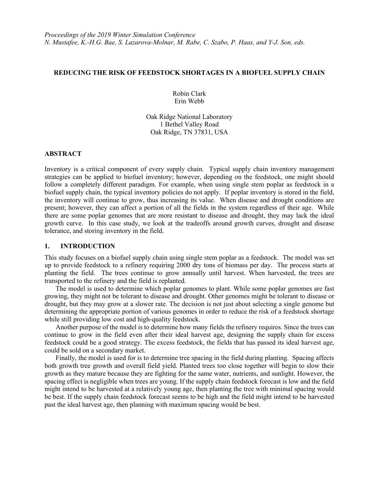## **REDUCING THE RISK OF FEEDSTOCK SHORTAGES IN A BIOFUEL SUPPLY CHAIN**

Robin Clark Erin Webb

Oak Ridge National Laboratory 1 Bethel Valley Road Oak Ridge, TN 37831, USA

# **ABSTRACT**

Inventory is a critical component of every supply chain. Typical supply chain inventory management strategies can be applied to biofuel inventory; however, depending on the feedstock, one might should follow a completely different paradigm. For example, when using single stem poplar as feedstock in a biofuel supply chain, the typical inventory policies do not apply. If poplar inventory is stored in the field, the inventory will continue to grow, thus increasing its value. When disease and drought conditions are present; however, they can affect a portion of all the fields in the system regardless of their age. While there are some poplar genomes that are more resistant to disease and drought, they may lack the ideal growth curve. In this case study, we look at the tradeoffs around growth curves, drought and disease tolerance, and storing inventory in the field.

## **1. INTRODUCTION**

This study focuses on a biofuel supply chain using single stem poplar as a feedstock. The model was set up to provide feedstock to a refinery requiring 2000 dry tons of biomass per day. The process starts at planting the field. The trees continue to grow annually until harvest. When harvested, the trees are transported to the refinery and the field is replanted.

The model is used to determine which poplar genomes to plant. While some poplar genomes are fast growing, they might not be tolerant to disease and drought. Other genomes might be tolerant to disease or drought, but they may grow at a slower rate. The decision is not just about selecting a single genome but determining the appropriate portion of various genomes in order to reduce the risk of a feedstock shortage while still providing low cost and high-quality feedstock.

Another purpose of the model is to determine how many fields the refinery requires. Since the trees can continue to grow in the field even after their ideal harvest age, designing the supply chain for excess feedstock could be a good strategy. The excess feedstock, the fields that has passed its ideal harvest age, could be sold on a secondary market.

Finally, the model is used for is to determine tree spacing in the field during planting. Spacing affects both growth tree growth and overall field yield. Planted trees too close together will begin to slow their growth as they mature because they are fighting for the same water, nutrients, and sunlight. However, the spacing effect is negligible when trees are young. If the supply chain feedstock forecast is low and the field might intend to be harvested at a relatively young age, then planting the tree with minimal spacing would be best. If the supply chain feedstock forecast seems to be high and the field might intend to be harvested past the ideal harvest age, then planning with maximum spacing would be best.